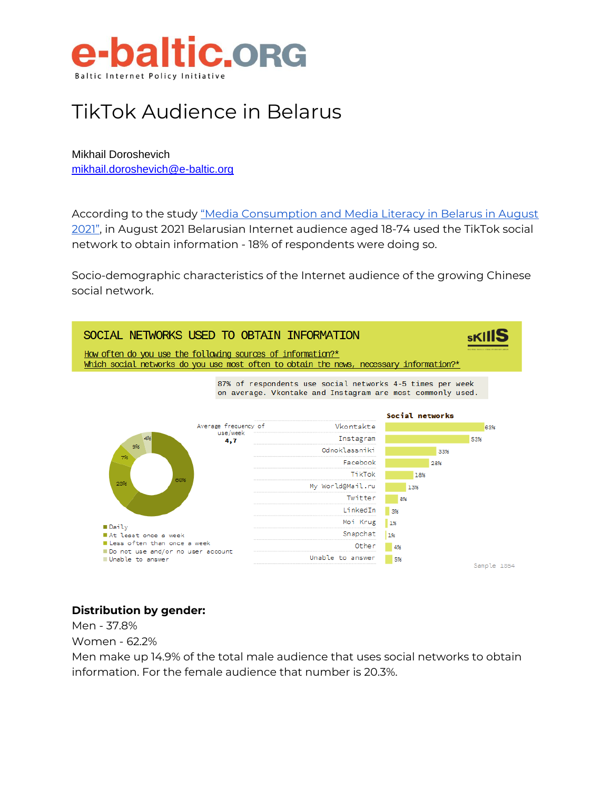

## TikTok Audience in Belarus

Mikhail Doroshevich [mikhail.doroshevich@e-baltic.org](mailto:mikhail.doroshevich@e-baltic.org)

According to the study "Media Consumption and Media Literacy in Belarus in August [2021"](https://digitalskills.by/2021/10/08/prezentatsiya-i-obsuzhdenie-issledovaniya-mediapotreblenie-i-mediagramotnost-v-belarusi-v-avguste-2021/), in August 2021 Belarusian Internet audience aged 18-74 used the TikTok social network to obtain information - 18% of respondents were doing so.

Socio-demographic characteristics of the Internet audience of the growing Chinese social network.



### **Distribution by gender:**

Men - 37.8% Women - 62.2%

Men make up 14.9% of the total male audience that uses social networks to obtain information. For the female audience that number is 20.3%.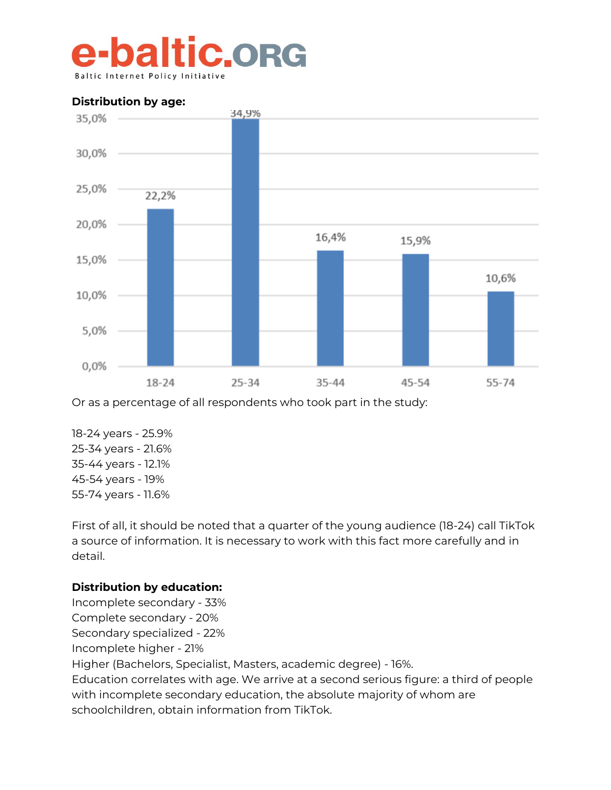## e-baltic.org **Baltic Internet Poli**



Or as a percentage of all respondents who took part in the study:

18-24 years - 25.9% 25-34 years - 21.6% 35-44 years - 12.1% 45-54 years - 19% 55-74 years - 11.6%

First of all, it should be noted that a quarter of the young audience (18-24) call TikTok a source of information. It is necessary to work with this fact more carefully and in detail.

### **Distribution by education:**

Incomplete secondary - 33% Complete secondary - 20% Secondary specialized - 22% Incomplete higher - 21% Higher (Bachelors, Specialist, Masters, academic degree) - 16%. Education correlates with age. We arrive at a second serious figure: a third of people with incomplete secondary education, the absolute majority of whom are schoolchildren, obtain information from TikTok.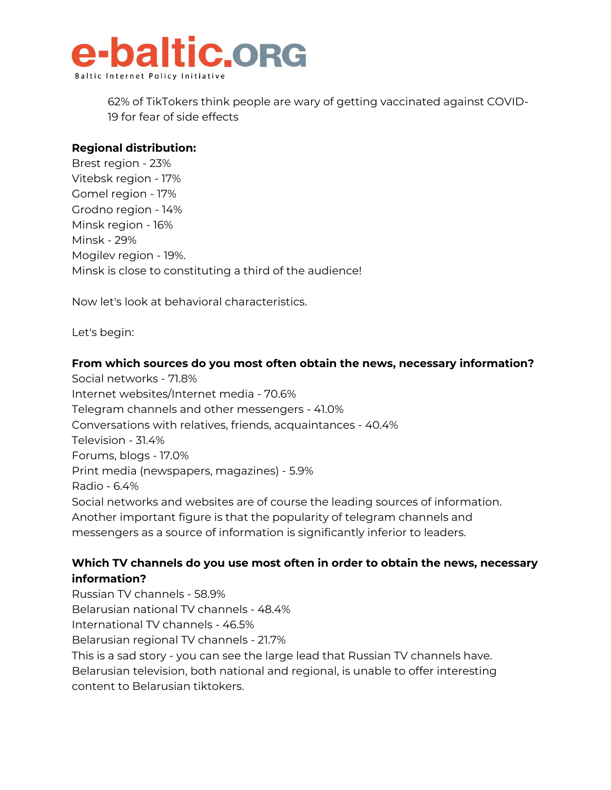

62% of TikTokers think people are wary of getting vaccinated against COVID-19 for fear of side effects

### **Regional distribution:**

Brest region - 23% Vitebsk region - 17% Gomel region - 17% Grodno region - 14% Minsk region - 16% Minsk - 29% Mogilev region - 19%. Minsk is close to constituting a third of the audience!

Now let's look at behavioral characteristics.

Let's begin:

### **From which sources do you most often obtain the news, necessary information?**

Social networks - 71.8% Internet websites/Internet media - 70.6% Telegram channels and other messengers - 41.0% Conversations with relatives, friends, acquaintances - 40.4% Television - 31.4% Forums, blogs - 17.0% Print media (newspapers, magazines) - 5.9% Radio - 6.4% Social networks and websites are of course the leading sources of information. Another important figure is that the popularity of telegram channels and messengers as a source of information is significantly inferior to leaders.

### **Which TV channels do you use most often in order to obtain the news, necessary information?**

Russian TV channels - 58.9% Belarusian national TV channels - 48.4% International TV channels - 46.5% Belarusian regional TV channels - 21.7% This is a sad story - you can see the large lead that Russian TV channels have. Belarusian television, both national and regional, is unable to offer interesting content to Belarusian tiktokers.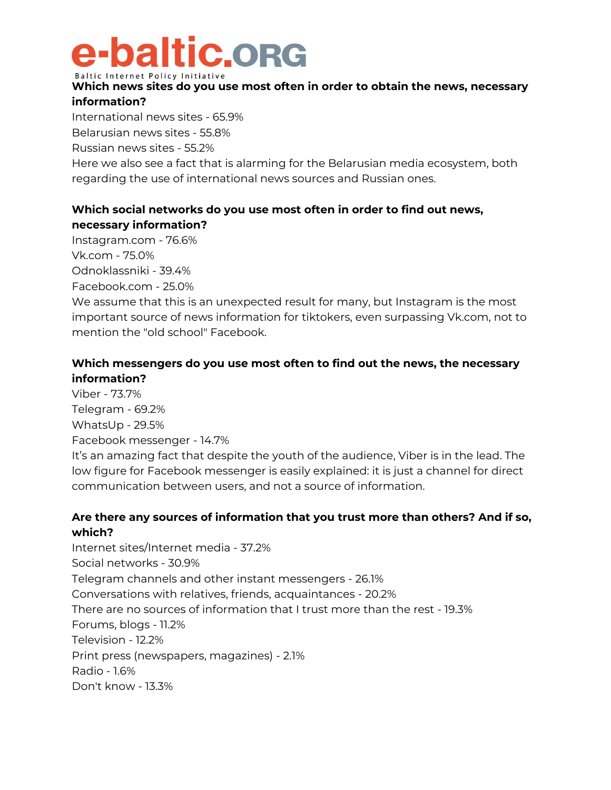# e-baltic.org

Baltic Internet Policy Initiative

### **Which news sites do you use most often in order to obtain the news, necessary information?**

International news sites - 65.9%

Belarusian news sites - 55.8%

Russian news sites - 55.2%

Here we also see a fact that is alarming for the Belarusian media ecosystem, both regarding the use of international news sources and Russian ones.

### **Which social networks do you use most often in order to find out news, necessary information?**

Instagram.com - 76.6%

Vk.com - 75.0% Odnoklassniki - 39.4%

Facebook.com - 25.0%

We assume that this is an unexpected result for many, but Instagram is the most important source of news information for tiktokers, even surpassing Vk.com, not to mention the "old school" Facebook.

### **Which messengers do you use most often to find out the news, the necessary information?**

Viber - 73.7% Telegram - 69.2% WhatsUp - 29.5% Facebook messenger - 14.7% It's an amazing fact that despite the youth of the audience, Viber is in the lead. The low figure for Facebook messenger is easily explained: it is just a channel for direct communication between users, and not a source of information.

### **Are there any sources of information that you trust more than others? And if so, which?**

Internet sites/Internet media - 37.2% Social networks - 30.9% Telegram channels and other instant messengers - 26.1% Conversations with relatives, friends, acquaintances - 20.2% There are no sources of information that I trust more than the rest - 19.3% Forums, blogs - 11.2% Television - 12.2% Print press (newspapers, magazines) - 2.1% Radio - 1.6% Don't know - 13.3%